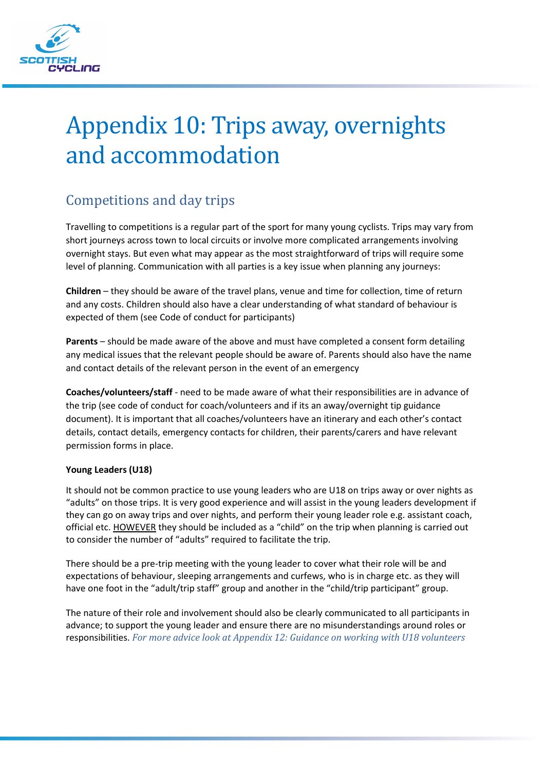

# Appendix 10: Trips away, overnights and accommodation

# Competitions and day trips

Travelling to competitions is a regular part of the sport for many young cyclists. Trips may vary from short journeys across town to local circuits or involve more complicated arrangements involving overnight stays. But even what may appear as the most straightforward of trips will require some level of planning. Communication with all parties is a key issue when planning any journeys:

**Children** – they should be aware of the travel plans, venue and time for collection, time of return and any costs. Children should also have a clear understanding of what standard of behaviour is expected of them (see Code of conduct for participants)

**Parents** – should be made aware of the above and must have completed a consent form detailing any medical issues that the relevant people should be aware of. Parents should also have the name and contact details of the relevant person in the event of an emergency

**Coaches/volunteers/staff** - need to be made aware of what their responsibilities are in advance of the trip (see code of conduct for coach/volunteers and if its an away/overnight tip guidance document). It is important that all coaches/volunteers have an itinerary and each other's contact details, contact details, emergency contacts for children, their parents/carers and have relevant permission forms in place.

#### **Young Leaders (U18)**

It should not be common practice to use young leaders who are U18 on trips away or over nights as "adults" on those trips. It is very good experience and will assist in the young leaders development if they can go on away trips and over nights, and perform their young leader role e.g. assistant coach, official etc. HOWEVER they should be included as a "child" on the trip when planning is carried out to consider the number of "adults" required to facilitate the trip.

There should be a pre-trip meeting with the young leader to cover what their role will be and expectations of behaviour, sleeping arrangements and curfews, who is in charge etc. as they will have one foot in the "adult/trip staff" group and another in the "child/trip participant" group.

The nature of their role and involvement should also be clearly communicated to all participants in advance; to support the young leader and ensure there are no misunderstandings around roles or responsibilities. *For more advice look at Appendix 12: Guidance on working with U18 volunteers*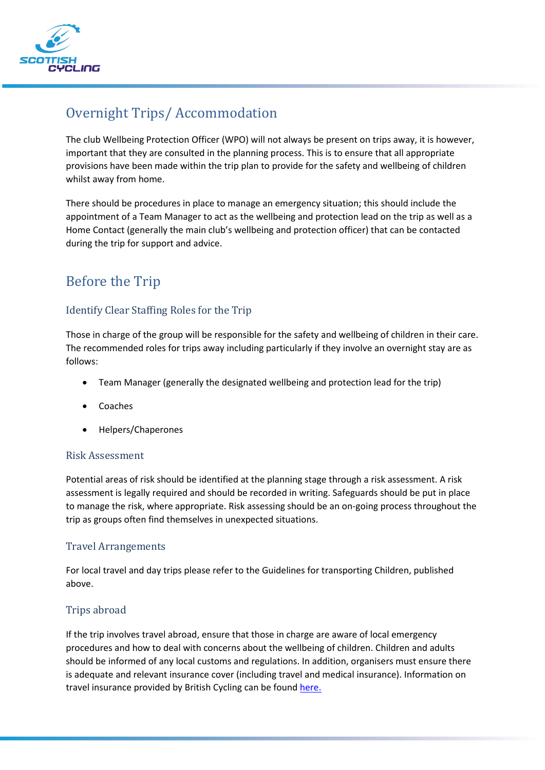

# Overnight Trips/ Accommodation

The club Wellbeing Protection Officer (WPO) will not always be present on trips away, it is however, important that they are consulted in the planning process. This is to ensure that all appropriate provisions have been made within the trip plan to provide for the safety and wellbeing of children whilst away from home.

There should be procedures in place to manage an emergency situation; this should include the appointment of a Team Manager to act as the wellbeing and protection lead on the trip as well as a Home Contact (generally the main club's wellbeing and protection officer) that can be contacted during the trip for support and advice.

## Before the Trip

#### Identify Clear Staffing Roles for the Trip

Those in charge of the group will be responsible for the safety and wellbeing of children in their care. The recommended roles for trips away including particularly if they involve an overnight stay are as follows:

- Team Manager (generally the designated wellbeing and protection lead for the trip)
- **Coaches**
- Helpers/Chaperones

#### Risk Assessment

Potential areas of risk should be identified at the planning stage through a risk assessment. A risk assessment is legally required and should be recorded in writing. Safeguards should be put in place to manage the risk, where appropriate. Risk assessing should be an on-going process throughout the trip as groups often find themselves in unexpected situations.

#### Travel Arrangements

For local travel and day trips please refer to the Guidelines for transporting Children, published above.

#### Trips abroad

If the trip involves travel abroad, ensure that those in charge are aware of local emergency procedures and how to deal with concerns about the wellbeing of children. Children and adults should be informed of any local customs and regulations. In addition, organisers must ensure there is adequate and relevant insurance cover (including travel and medical insurance). Information on travel insurance provided by British Cycling can be found [here.](https://www.britishcycling.org.uk/travelinsurance)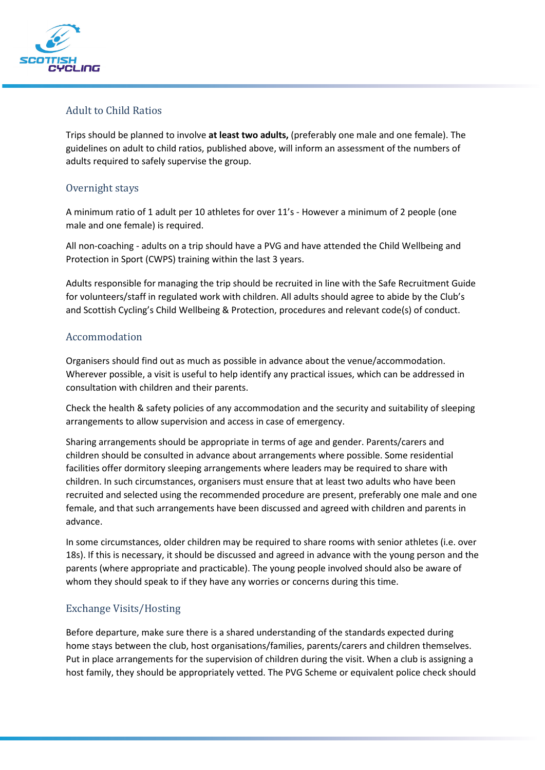

#### Adult to Child Ratios

Trips should be planned to involve **at least two adults,** (preferably one male and one female). The guidelines on adult to child ratios, published above, will inform an assessment of the numbers of adults required to safely supervise the group.

#### Overnight stays

A minimum ratio of 1 adult per 10 athletes for over 11's - However a minimum of 2 people (one male and one female) is required.

All non-coaching - adults on a trip should have a PVG and have attended the Child Wellbeing and Protection in Sport (CWPS) training within the last 3 years.

Adults responsible for managing the trip should be recruited in line with the Safe Recruitment Guide for volunteers/staff in regulated work with children. All adults should agree to abide by the Club's and Scottish Cycling's Child Wellbeing & Protection, procedures and relevant code(s) of conduct.

#### Accommodation

Organisers should find out as much as possible in advance about the venue/accommodation. Wherever possible, a visit is useful to help identify any practical issues, which can be addressed in consultation with children and their parents.

Check the health & safety policies of any accommodation and the security and suitability of sleeping arrangements to allow supervision and access in case of emergency.

Sharing arrangements should be appropriate in terms of age and gender. Parents/carers and children should be consulted in advance about arrangements where possible. Some residential facilities offer dormitory sleeping arrangements where leaders may be required to share with children. In such circumstances, organisers must ensure that at least two adults who have been recruited and selected using the recommended procedure are present, preferably one male and one female, and that such arrangements have been discussed and agreed with children and parents in advance.

In some circumstances, older children may be required to share rooms with senior athletes (i.e. over 18s). If this is necessary, it should be discussed and agreed in advance with the young person and the parents (where appropriate and practicable). The young people involved should also be aware of whom they should speak to if they have any worries or concerns during this time.

#### Exchange Visits/Hosting

Before departure, make sure there is a shared understanding of the standards expected during home stays between the club, host organisations/families, parents/carers and children themselves. Put in place arrangements for the supervision of children during the visit. When a club is assigning a host family, they should be appropriately vetted. The PVG Scheme or equivalent police check should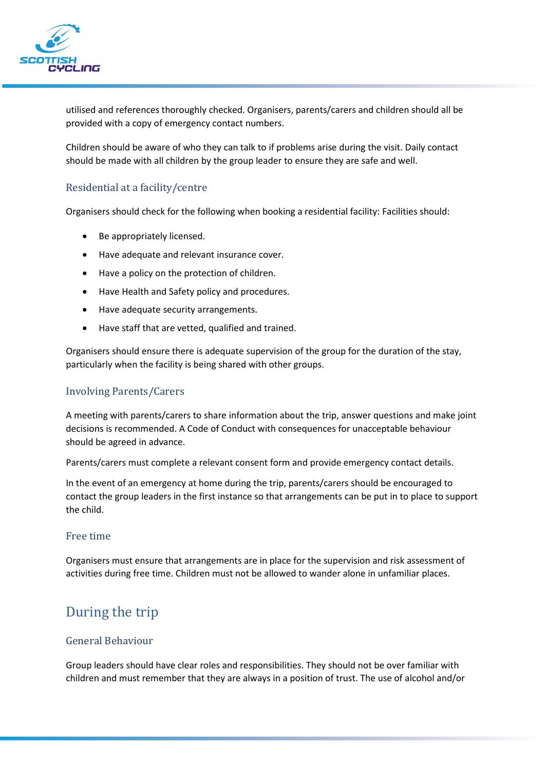

utilised and references thoroughly checked. Organisers, parents/carers and children should all be provided with a copy of emergency contact numbers.

Children should be aware of who they can talk to if problems arise during the visit. Daily contact should be made with all children by the group leader to ensure they are safe and well.

#### Residential at a facility/centre

Organisers should check for the following when booking a residential facility: Facilities should:

- Be appropriately licensed.
- Have adequate and relevant insurance cover.
- Have a policy on the protection of children.
- Have Health and Safety policy and procedures.
- Have adequate security arrangements.
- Have staff that are vetted, qualified and trained.

Organisers should ensure there is adequate supervision of the group for the duration of the stay, particularly when the facility is being shared with other groups.

#### Involving Parents/Carers

A meeting with parents/carers to share information about the trip, answer questions and make joint decisions is recommended. A Code of Conduct with consequences for unacceptable behaviour should be agreed in advance.

Parents/carers must complete a relevant consent form and provide emergency contact details.

In the event of an emergency at home during the trip, parents/carers should be encouraged to contact the group leaders in the first instance so that arrangements can be put in to place to support the child.

#### Free time

Organisers must ensure that arrangements are in place for the supervision and risk assessment of activities during free time. Children must not be allowed to wander alone in unfamiliar places.

## During the trip

#### General Behaviour

Group leaders should have clear roles and responsibilities. They should not be over familiar with children and must remember that they are always in a position of trust. The use of alcohol and/or